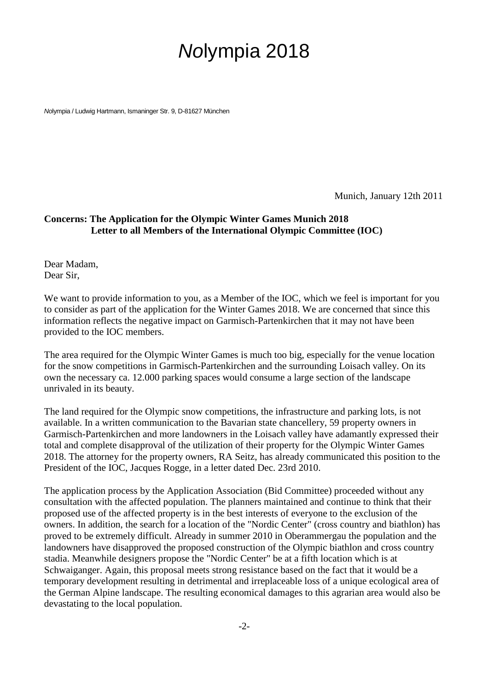# Nolympia 2018

Nolympia / Ludwig Hartmann, Ismaninger Str. 9, D-81627 München

Munich, January 12th 2011

### **Concerns: The Application for the Olympic Winter Games Munich 2018 Letter to all Members of the International Olympic Committee (IOC)**

Dear Madam, Dear Sir,

We want to provide information to you, as a Member of the IOC, which we feel is important for you to consider as part of the application for the Winter Games 2018. We are concerned that since this information reflects the negative impact on Garmisch-Partenkirchen that it may not have been provided to the IOC members.

The area required for the Olympic Winter Games is much too big, especially for the venue location for the snow competitions in Garmisch-Partenkirchen and the surrounding Loisach valley. On its own the necessary ca. 12.000 parking spaces would consume a large section of the landscape unrivaled in its beauty.

The land required for the Olympic snow competitions, the infrastructure and parking lots, is not available. In a written communication to the Bavarian state chancellery, 59 property owners in Garmisch-Partenkirchen and more landowners in the Loisach valley have adamantly expressed their total and complete disapproval of the utilization of their property for the Olympic Winter Games 2018. The attorney for the property owners, RA Seitz, has already communicated this position to the President of the IOC, Jacques Rogge, in a letter dated Dec. 23rd 2010.

The application process by the Application Association (Bid Committee) proceeded without any consultation with the affected population. The planners maintained and continue to think that their proposed use of the affected property is in the best interests of everyone to the exclusion of the owners. In addition, the search for a location of the "Nordic Center" (cross country and biathlon) has proved to be extremely difficult. Already in summer 2010 in Oberammergau the population and the landowners have disapproved the proposed construction of the Olympic biathlon and cross country stadia. Meanwhile designers propose the "Nordic Center" be at a fifth location which is at Schwaiganger. Again, this proposal meets strong resistance based on the fact that it would be a temporary development resulting in detrimental and irreplaceable loss of a unique ecological area of the German Alpine landscape. The resulting economical damages to this agrarian area would also be devastating to the local population.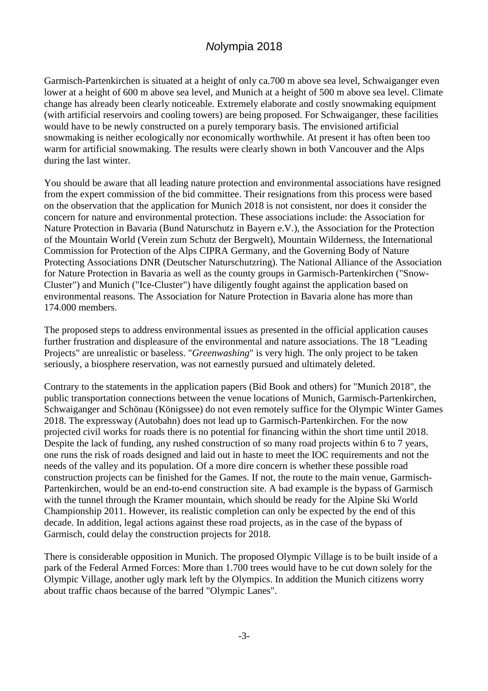## Nolympia 2018

Garmisch-Partenkirchen is situated at a height of only ca.700 m above sea level, Schwaiganger even lower at a height of 600 m above sea level, and Munich at a height of 500 m above sea level. Climate change has already been clearly noticeable. Extremely elaborate and costly snowmaking equipment (with artificial reservoirs and cooling towers) are being proposed. For Schwaiganger, these facilities would have to be newly constructed on a purely temporary basis. The envisioned artificial snowmaking is neither ecologically nor economically worthwhile. At present it has often been too warm for artificial snowmaking. The results were clearly shown in both Vancouver and the Alps during the last winter.

You should be aware that all leading nature protection and environmental associations have resigned from the expert commission of the bid committee. Their resignations from this process were based on the observation that the application for Munich 2018 is not consistent, nor does it consider the concern for nature and environmental protection. These associations include: the Association for Nature Protection in Bavaria (Bund Naturschutz in Bayern e.V.), the Association for the Protection of the Mountain World (Verein zum Schutz der Bergwelt), Mountain Wilderness, the International Commission for Protection of the Alps CIPRA Germany, and the Governing Body of Nature Protecting Associations DNR (Deutscher Naturschutzring). The National Alliance of the Association for Nature Protection in Bavaria as well as the county groups in Garmisch-Partenkirchen ("Snow-Cluster") and Munich ("Ice-Cluster") have diligently fought against the application based on environmental reasons. The Association for Nature Protection in Bavaria alone has more than 174.000 members.

The proposed steps to address environmental issues as presented in the official application causes further frustration and displeasure of the environmental and nature associations. The 18 "Leading Projects" are unrealistic or baseless. "*Greenwashing*" is very high. The only project to be taken seriously, a biosphere reservation, was not earnestly pursued and ultimately deleted.

Contrary to the statements in the application papers (Bid Book and others) for "Munich 2018", the public transportation connections between the venue locations of Munich, Garmisch-Partenkirchen, Schwaiganger and Schönau (Königssee) do not even remotely suffice for the Olympic Winter Games 2018. The expressway (Autobahn) does not lead up to Garmisch-Partenkirchen. For the now projected civil works for roads there is no potential for financing within the short time until 2018. Despite the lack of funding, any rushed construction of so many road projects within 6 to 7 years, one runs the risk of roads designed and laid out in haste to meet the IOC requirements and not the needs of the valley and its population. Of a more dire concern is whether these possible road construction projects can be finished for the Games. If not, the route to the main venue, Garmisch-Partenkirchen, would be an end-to-end construction site. A bad example is the bypass of Garmisch with the tunnel through the Kramer mountain, which should be ready for the Alpine Ski World Championship 2011. However, its realistic completion can only be expected by the end of this decade. In addition, legal actions against these road projects, as in the case of the bypass of Garmisch, could delay the construction projects for 2018.

There is considerable opposition in Munich. The proposed Olympic Village is to be built inside of a park of the Federal Armed Forces: More than 1.700 trees would have to be cut down solely for the Olympic Village, another ugly mark left by the Olympics. In addition the Munich citizens worry about traffic chaos because of the barred "Olympic Lanes".